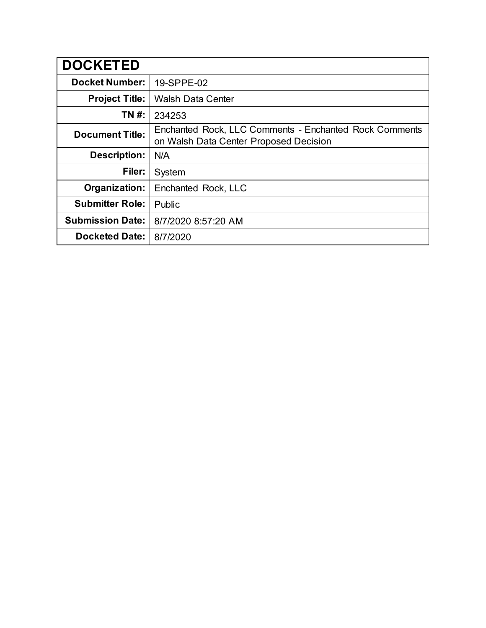| <b>DOCKETED</b>         |                                                                                                  |
|-------------------------|--------------------------------------------------------------------------------------------------|
| <b>Docket Number:</b>   | 19-SPPE-02                                                                                       |
| <b>Project Title:</b>   | <b>Walsh Data Center</b>                                                                         |
| TN #:                   | 234253                                                                                           |
| <b>Document Title:</b>  | Enchanted Rock, LLC Comments - Enchanted Rock Comments<br>on Walsh Data Center Proposed Decision |
| <b>Description:</b>     | N/A                                                                                              |
| Filer:                  | System                                                                                           |
| Organization:           | Enchanted Rock, LLC                                                                              |
| <b>Submitter Role:</b>  | Public                                                                                           |
| <b>Submission Date:</b> | 8/7/2020 8:57:20 AM                                                                              |
| <b>Docketed Date:</b>   | 8/7/2020                                                                                         |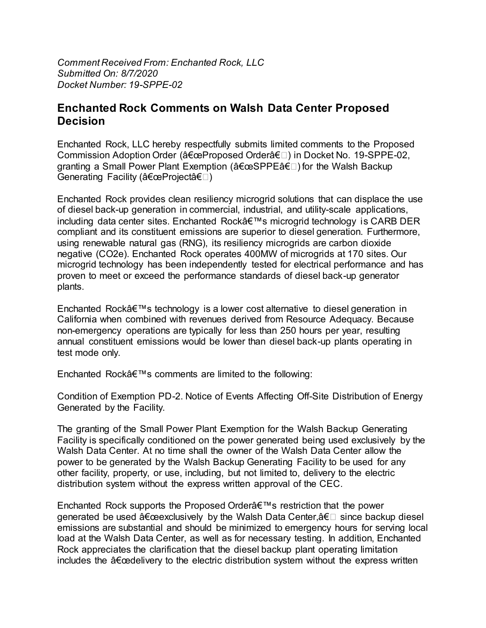*Comment Received From: Enchanted Rock, LLC Submitted On: 8/7/2020 Docket Number: 19-SPPE-02*

## **Enchanted Rock Comments on Walsh Data Center Proposed Decision**

Enchanted Rock, LLC hereby respectfully submits limited comments to the Proposed Commission Adoption Order ("Proposed Order―) in Docket No. 19-SPPE-02, granting a Small Power Plant Exemption ( $â€@SPPE―$ ) for the Walsh Backup Generating Facility ("Project―)

Enchanted Rock provides clean resiliency microgrid solutions that can displace the use of diesel back-up generation in commercial, industrial, and utility-scale applications, including data center sites. Enchanted Rock's microgrid technology is CARB DER compliant and its constituent emissions are superior to diesel generation. Furthermore, using renewable natural gas (RNG), its resiliency microgrids are carbon dioxide negative (CO2e). Enchanted Rock operates 400MW of microgrids at 170 sites. Our microgrid technology has been independently tested for electrical performance and has proven to meet or exceed the performance standards of diesel back-up generator plants.

Enchanted Rock $\hat{\mathcal{A}} \in \mathbb{N}$  is a lower cost alternative to diesel generation in California when combined with revenues derived from Resource Adequacy. Because non-emergency operations are typically for less than 250 hours per year, resulting annual constituent emissions would be lower than diesel back-up plants operating in test mode only.

Enchanted Rock $\hat{a} \in \mathbb{N}$ s comments are limited to the following:

Condition of Exemption PD-2. Notice of Events Affecting Off-Site Distribution of Energy Generated by the Facility.

The granting of the Small Power Plant Exemption for the Walsh Backup Generating Facility is specifically conditioned on the power generated being used exclusively by the Walsh Data Center. At no time shall the owner of the Walsh Data Center allow the power to be generated by the Walsh Backup Generating Facility to be used for any other facility, property, or use, including, but not limited to, delivery to the electric distribution system without the express written approval of the CEC.

Enchanted Rock supports the Proposed Order's restriction that the power generated be used  $â€$ œexclusively by the Walsh Data Center, $―$  since backup diesel emissions are substantial and should be minimized to emergency hours for serving local load at the Walsh Data Center, as well as for necessary testing. In addition, Enchanted Rock appreciates the clarification that the diesel backup plant operating limitation includes the  $a \in \alpha$  delivery to the electric distribution system without the express written